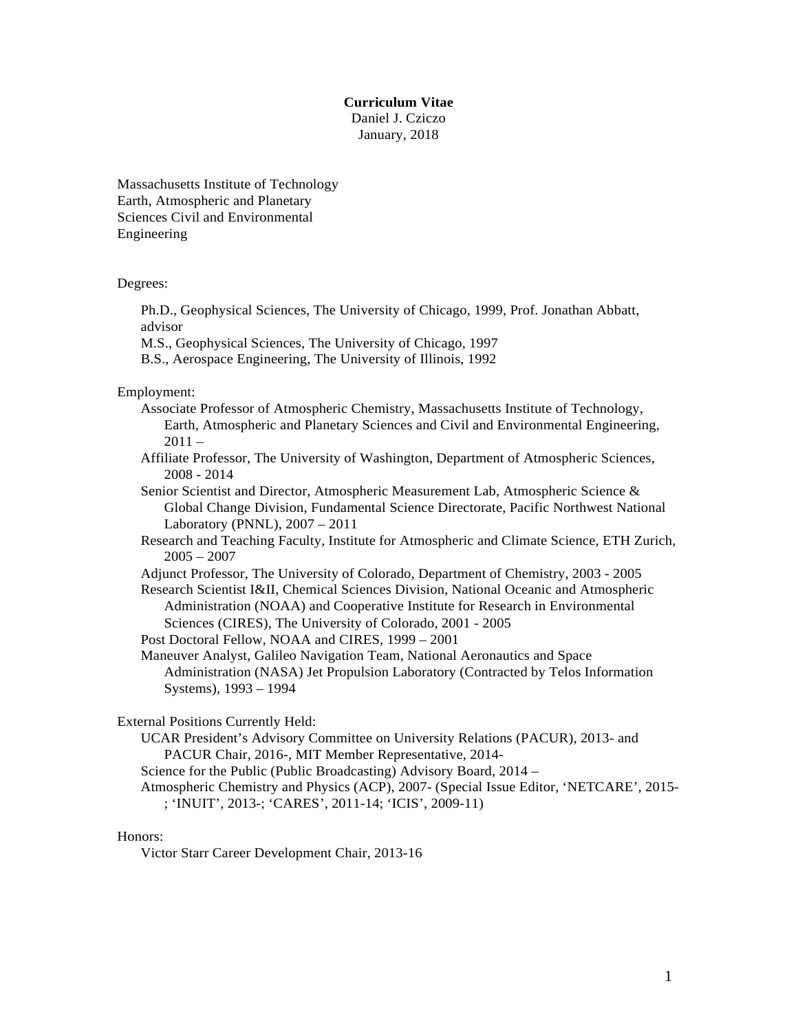#### **Curriculum Vitae**

Daniel J. Cziczo January, 2018

Massachusetts Institute of Technology Earth, Atmospheric and Planetary Sciences Civil and Environmental Engineering

Degrees:

Ph.D., Geophysical Sciences, The University of Chicago, 1999, Prof. Jonathan Abbatt, advisor

M.S., Geophysical Sciences, The University of Chicago, 1997

B.S., Aerospace Engineering, The University of Illinois, 1992

Employment:

Associate Professor of Atmospheric Chemistry, Massachusetts Institute of Technology, Earth, Atmospheric and Planetary Sciences and Civil and Environmental Engineering,  $2011 -$ 

- Affiliate Professor, The University of Washington, Department of Atmospheric Sciences, 2008 - 2014
- Senior Scientist and Director, Atmospheric Measurement Lab, Atmospheric Science & Global Change Division, Fundamental Science Directorate, Pacific Northwest National Laboratory (PNNL), 2007 – 2011
- Research and Teaching Faculty, Institute for Atmospheric and Climate Science, ETH Zurich,  $2005 - 2007$
- Adjunct Professor, The University of Colorado, Department of Chemistry, 2003 2005
- Research Scientist I&II, Chemical Sciences Division, National Oceanic and Atmospheric Administration (NOAA) and Cooperative Institute for Research in Environmental Sciences (CIRES), The University of Colorado, 2001 - 2005

Post Doctoral Fellow, NOAA and CIRES, 1999 – 2001

Maneuver Analyst, Galileo Navigation Team, National Aeronautics and Space Administration (NASA) Jet Propulsion Laboratory (Contracted by Telos Information Systems), 1993 – 1994

External Positions Currently Held:

UCAR President's Advisory Committee on University Relations (PACUR), 2013- and PACUR Chair, 2016-, MIT Member Representative, 2014-

Science for the Public (Public Broadcasting) Advisory Board, 2014 –

Atmospheric Chemistry and Physics (ACP), 2007- (Special Issue Editor, 'NETCARE', 2015- ; 'INUIT', 2013-; 'CARES', 2011-14; 'ICIS', 2009-11)

#### Honors:

Victor Starr Career Development Chair, 2013-16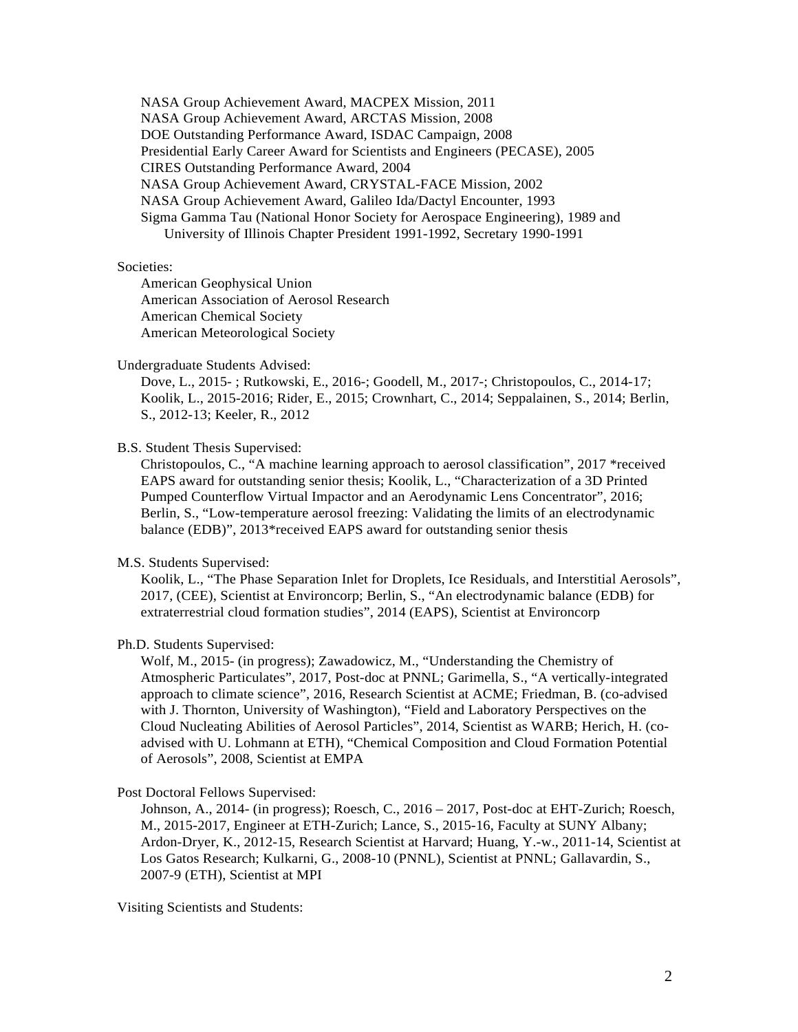NASA Group Achievement Award, MACPEX Mission, 2011 NASA Group Achievement Award, ARCTAS Mission, 2008 DOE Outstanding Performance Award, ISDAC Campaign, 2008 Presidential Early Career Award for Scientists and Engineers (PECASE), 2005 CIRES Outstanding Performance Award, 2004 NASA Group Achievement Award, CRYSTAL-FACE Mission, 2002 NASA Group Achievement Award, Galileo Ida/Dactyl Encounter, 1993 Sigma Gamma Tau (National Honor Society for Aerospace Engineering), 1989 and University of Illinois Chapter President 1991-1992, Secretary 1990-1991

### Societies:

American Geophysical Union American Association of Aerosol Research American Chemical Society American Meteorological Society

## Undergraduate Students Advised:

Dove, L., 2015- ; Rutkowski, E., 2016-; Goodell, M., 2017-; Christopoulos, C., 2014-17; Koolik, L., 2015-2016; Rider, E., 2015; Crownhart, C., 2014; Seppalainen, S., 2014; Berlin, S., 2012-13; Keeler, R., 2012

B.S. Student Thesis Supervised:

Christopoulos, C., "A machine learning approach to aerosol classification", 2017 \*received EAPS award for outstanding senior thesis; Koolik, L., "Characterization of a 3D Printed Pumped Counterflow Virtual Impactor and an Aerodynamic Lens Concentrator", 2016; Berlin, S., "Low-temperature aerosol freezing: Validating the limits of an electrodynamic balance (EDB)", 2013\*received EAPS award for outstanding senior thesis

#### M.S. Students Supervised:

Koolik, L., "The Phase Separation Inlet for Droplets, Ice Residuals, and Interstitial Aerosols", 2017, (CEE), Scientist at Environcorp; Berlin, S., "An electrodynamic balance (EDB) for extraterrestrial cloud formation studies", 2014 (EAPS), Scientist at Environcorp

# Ph.D. Students Supervised:

Wolf, M., 2015- (in progress); Zawadowicz, M., "Understanding the Chemistry of Atmospheric Particulates", 2017, Post-doc at PNNL; Garimella, S., "A vertically-integrated approach to climate science", 2016, Research Scientist at ACME; Friedman, B. (co-advised with J. Thornton, University of Washington), "Field and Laboratory Perspectives on the Cloud Nucleating Abilities of Aerosol Particles", 2014, Scientist as WARB; Herich, H. (coadvised with U. Lohmann at ETH), "Chemical Composition and Cloud Formation Potential of Aerosols", 2008, Scientist at EMPA

Post Doctoral Fellows Supervised:

Johnson, A., 2014- (in progress); Roesch, C., 2016 – 2017, Post-doc at EHT-Zurich; Roesch, M., 2015-2017, Engineer at ETH-Zurich; Lance, S., 2015-16, Faculty at SUNY Albany; Ardon-Dryer, K., 2012-15, Research Scientist at Harvard; Huang, Y.-w., 2011-14, Scientist at Los Gatos Research; Kulkarni, G., 2008-10 (PNNL), Scientist at PNNL; Gallavardin, S., 2007-9 (ETH), Scientist at MPI

Visiting Scientists and Students: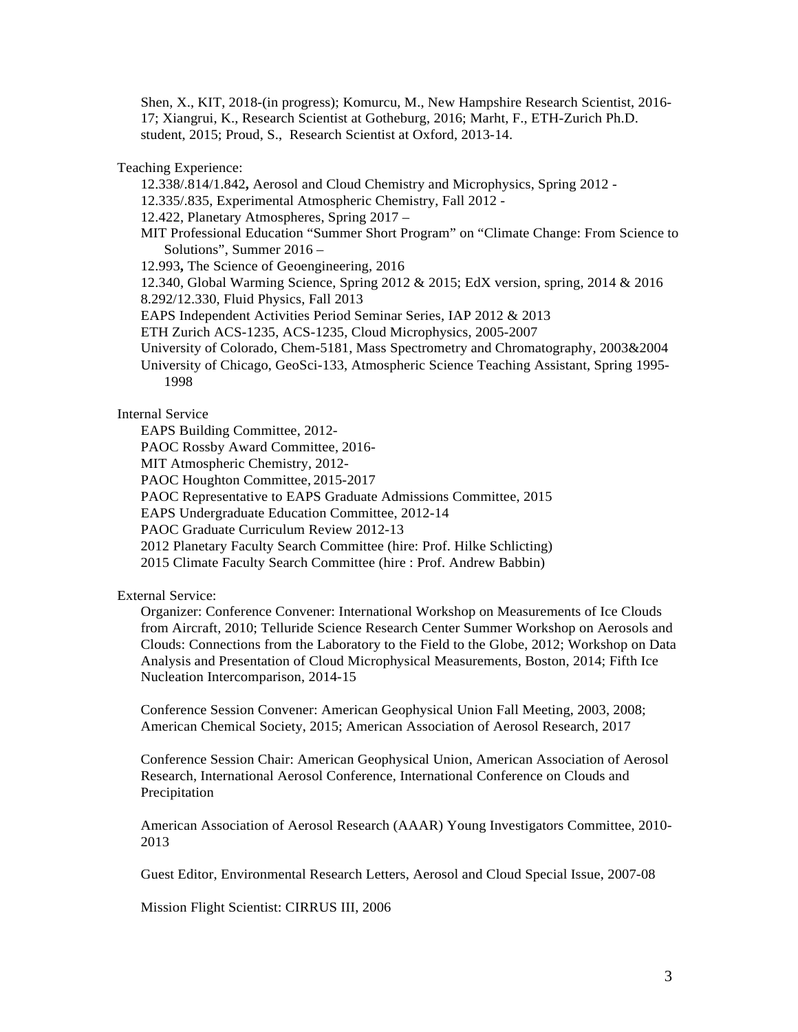Shen, X., KIT, 2018-(in progress); Komurcu, M., New Hampshire Research Scientist, 2016- 17; Xiangrui, K., Research Scientist at Gotheburg, 2016; Marht, F., ETH-Zurich Ph.D. student, 2015; Proud, S., Research Scientist at Oxford, 2013-14.

Teaching Experience:

12.338/.814/1.842**,** Aerosol and Cloud Chemistry and Microphysics, Spring 2012 -

12.335/.835, Experimental Atmospheric Chemistry, Fall 2012 -

12.422, Planetary Atmospheres, Spring 2017 –

MIT Professional Education "Summer Short Program" on "Climate Change: From Science to Solutions", Summer 2016 –

12.993**,** The Science of Geoengineering, 2016

12.340, Global Warming Science, Spring 2012 & 2015; EdX version, spring, 2014 & 2016

8.292/12.330, Fluid Physics, Fall 2013

EAPS Independent Activities Period Seminar Series, IAP 2012 & 2013

ETH Zurich ACS-1235, ACS-1235, Cloud Microphysics, 2005-2007

- University of Colorado, Chem-5181, Mass Spectrometry and Chromatography, 2003&2004
- University of Chicago, GeoSci-133, Atmospheric Science Teaching Assistant, Spring 1995- 1998

#### Internal Service

EAPS Building Committee, 2012-

PAOC Rossby Award Committee, 2016-

MIT Atmospheric Chemistry, 2012-

PAOC Houghton Committee, 2015-2017

PAOC Representative to EAPS Graduate Admissions Committee, 2015

EAPS Undergraduate Education Committee, 2012-14

PAOC Graduate Curriculum Review 2012-13

2012 Planetary Faculty Search Committee (hire: Prof. Hilke Schlicting)

2015 Climate Faculty Search Committee (hire : Prof. Andrew Babbin)

## External Service:

Organizer: Conference Convener: International Workshop on Measurements of Ice Clouds from Aircraft, 2010; Telluride Science Research Center Summer Workshop on Aerosols and Clouds: Connections from the Laboratory to the Field to the Globe, 2012; Workshop on Data Analysis and Presentation of Cloud Microphysical Measurements, Boston, 2014; Fifth Ice Nucleation Intercomparison, 2014-15

Conference Session Convener: American Geophysical Union Fall Meeting, 2003, 2008; American Chemical Society, 2015; American Association of Aerosol Research, 2017

Conference Session Chair: American Geophysical Union, American Association of Aerosol Research, International Aerosol Conference, International Conference on Clouds and Precipitation

American Association of Aerosol Research (AAAR) Young Investigators Committee, 2010- 2013

Guest Editor, Environmental Research Letters, Aerosol and Cloud Special Issue, 2007-08

Mission Flight Scientist: CIRRUS III, 2006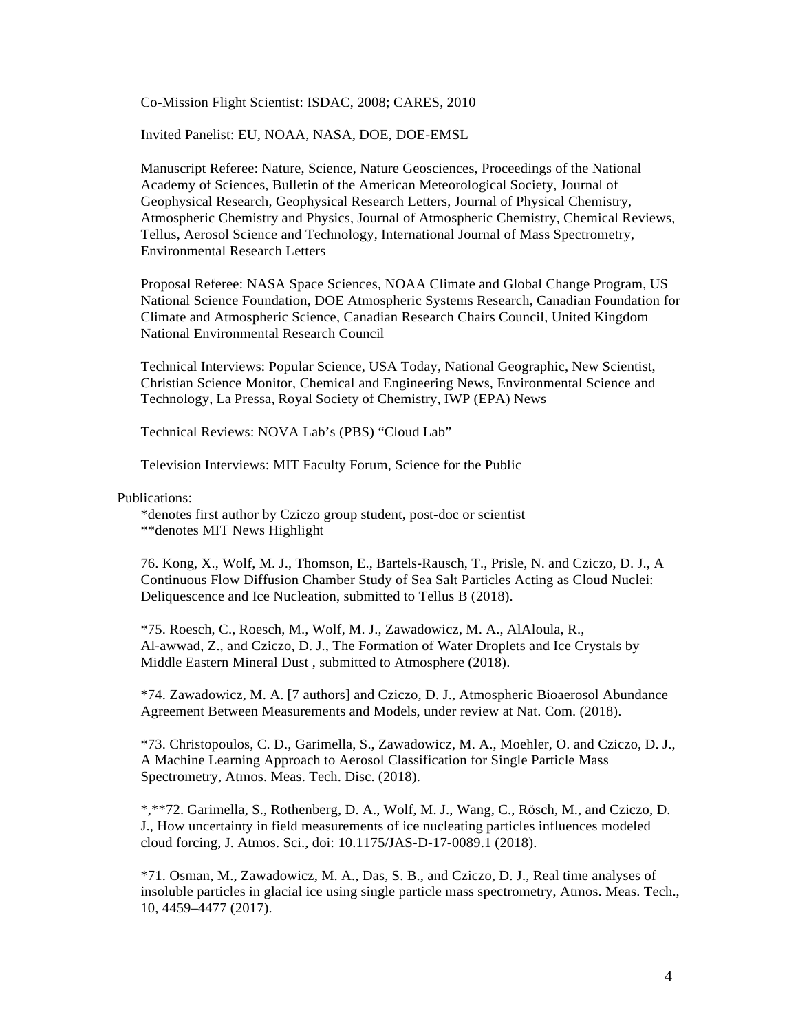Co-Mission Flight Scientist: ISDAC, 2008; CARES, 2010

Invited Panelist: EU, NOAA, NASA, DOE, DOE-EMSL

Manuscript Referee: Nature, Science, Nature Geosciences, Proceedings of the National Academy of Sciences, Bulletin of the American Meteorological Society, Journal of Geophysical Research, Geophysical Research Letters, Journal of Physical Chemistry, Atmospheric Chemistry and Physics, Journal of Atmospheric Chemistry, Chemical Reviews, Tellus, Aerosol Science and Technology, International Journal of Mass Spectrometry, Environmental Research Letters

Proposal Referee: NASA Space Sciences, NOAA Climate and Global Change Program, US National Science Foundation, DOE Atmospheric Systems Research, Canadian Foundation for Climate and Atmospheric Science, Canadian Research Chairs Council, United Kingdom National Environmental Research Council

Technical Interviews: Popular Science, USA Today, National Geographic, New Scientist, Christian Science Monitor, Chemical and Engineering News, Environmental Science and Technology, La Pressa, Royal Society of Chemistry, IWP (EPA) News

Technical Reviews: NOVA Lab's (PBS) "Cloud Lab"

Television Interviews: MIT Faculty Forum, Science for the Public

Publications:

\*denotes first author by Cziczo group student, post-doc or scientist \*\*denotes MIT News Highlight

76. Kong, X., Wolf, M. J., Thomson, E., Bartels-Rausch, T., Prisle, N. and Cziczo, D. J., A Continuous Flow Diffusion Chamber Study of Sea Salt Particles Acting as Cloud Nuclei: Deliquescence and Ice Nucleation, submitted to Tellus B (2018).

\*75. Roesch, C., Roesch, M., Wolf, M. J., Zawadowicz, M. A., AlAloula, R., Al-awwad, Z., and Cziczo, D. J., The Formation of Water Droplets and Ice Crystals by Middle Eastern Mineral Dust , submitted to Atmosphere (2018).

\*74. Zawadowicz, M. A. [7 authors] and Cziczo, D. J., Atmospheric Bioaerosol Abundance Agreement Between Measurements and Models, under review at Nat. Com. (2018).

\*73. Christopoulos, C. D., Garimella, S., Zawadowicz, M. A., Moehler, O. and Cziczo, D. J., A Machine Learning Approach to Aerosol Classification for Single Particle Mass Spectrometry, Atmos. Meas. Tech. Disc. (2018).

\*,\*\*72. Garimella, S., Rothenberg, D. A., Wolf, M. J., Wang, C., Rösch, M., and Cziczo, D. J., How uncertainty in field measurements of ice nucleating particles influences modeled cloud forcing, J. Atmos. Sci., doi: 10.1175/JAS-D-17-0089.1 (2018).

\*71. Osman, M., Zawadowicz, M. A., Das, S. B., and Cziczo, D. J., Real time analyses of insoluble particles in glacial ice using single particle mass spectrometry, Atmos. Meas. Tech., 10, 4459–4477 (2017).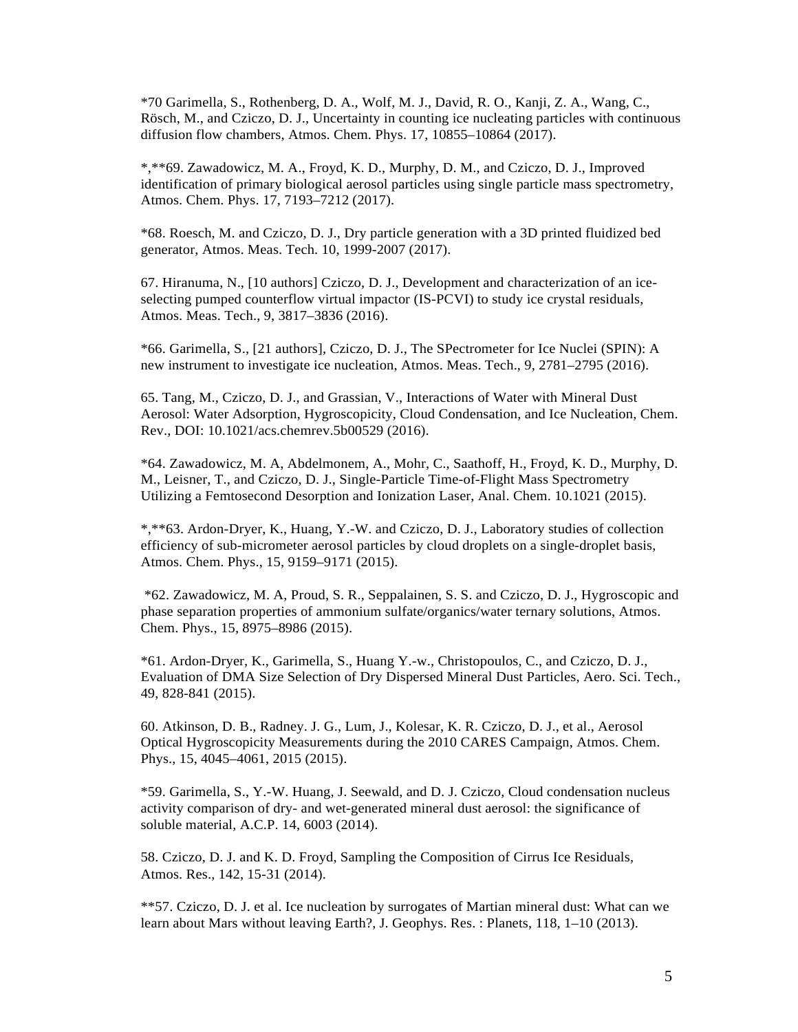\*70 Garimella, S., Rothenberg, D. A., Wolf, M. J., David, R. O., Kanji, Z. A., Wang, C., Rösch, M., and Cziczo, D. J., Uncertainty in counting ice nucleating particles with continuous diffusion flow chambers, Atmos. Chem. Phys. 17, 10855–10864 (2017).

\*,\*\*69. Zawadowicz, M. A., Froyd, K. D., Murphy, D. M., and Cziczo, D. J., Improved identification of primary biological aerosol particles using single particle mass spectrometry, Atmos. Chem. Phys. 17, 7193–7212 (2017).

\*68. Roesch, M. and Cziczo, D. J., Dry particle generation with a 3D printed fluidized bed generator, Atmos. Meas. Tech. 10, 1999-2007 (2017).

67. Hiranuma, N., [10 authors] Cziczo, D. J., Development and characterization of an iceselecting pumped counterflow virtual impactor (IS-PCVI) to study ice crystal residuals, Atmos. Meas. Tech., 9, 3817–3836 (2016).

\*66. Garimella, S., [21 authors], Cziczo, D. J., The SPectrometer for Ice Nuclei (SPIN): A new instrument to investigate ice nucleation, Atmos. Meas. Tech., 9, 2781–2795 (2016).

65. Tang, M., Cziczo, D. J., and Grassian, V., Interactions of Water with Mineral Dust Aerosol: Water Adsorption, Hygroscopicity, Cloud Condensation, and Ice Nucleation, Chem. Rev., DOI: 10.1021/acs.chemrev.5b00529 (2016).

\*64. Zawadowicz, M. A, Abdelmonem, A., Mohr, C., Saathoff, H., Froyd, K. D., Murphy, D. M., Leisner, T., and Cziczo, D. J., Single-Particle Time-of-Flight Mass Spectrometry Utilizing a Femtosecond Desorption and Ionization Laser, Anal. Chem. 10.1021 (2015).

\*,\*\*63. Ardon-Dryer, K., Huang, Y.-W. and Cziczo, D. J., Laboratory studies of collection efficiency of sub-micrometer aerosol particles by cloud droplets on a single-droplet basis, Atmos. Chem. Phys., 15, 9159–9171 (2015).

\*62. Zawadowicz, M. A, Proud, S. R., Seppalainen, S. S. and Cziczo, D. J., Hygroscopic and phase separation properties of ammonium sulfate/organics/water ternary solutions, Atmos. Chem. Phys., 15, 8975–8986 (2015).

\*61. Ardon-Dryer, K., Garimella, S., Huang Y.-w., Christopoulos, C., and Cziczo, D. J., Evaluation of DMA Size Selection of Dry Dispersed Mineral Dust Particles, Aero. Sci. Tech., 49, 828-841 (2015).

60. Atkinson, D. B., Radney. J. G., Lum, J., Kolesar, K. R. Cziczo, D. J., et al., Aerosol Optical Hygroscopicity Measurements during the 2010 CARES Campaign, Atmos. Chem. Phys., 15, 4045–4061, 2015 (2015).

\*59. Garimella, S., Y.-W. Huang, J. Seewald, and D. J. Cziczo, Cloud condensation nucleus activity comparison of dry- and wet-generated mineral dust aerosol: the significance of soluble material, A.C.P. 14, 6003 (2014).

58. Cziczo, D. J. and K. D. Froyd, Sampling the Composition of Cirrus Ice Residuals, Atmos. Res., 142, 15-31 (2014).

\*\*57. Cziczo, D. J. et al. Ice nucleation by surrogates of Martian mineral dust: What can we learn about Mars without leaving Earth?, J. Geophys. Res. : Planets, 118, 1–10 (2013).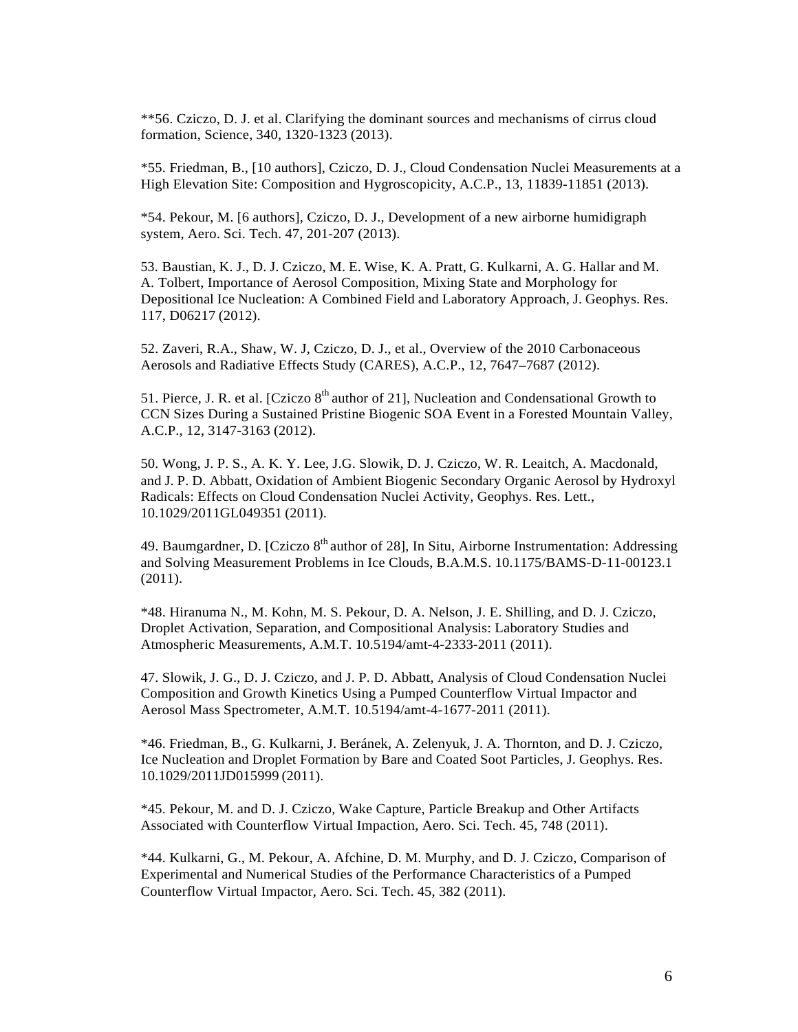\*\*56. Cziczo, D. J. et al. Clarifying the dominant sources and mechanisms of cirrus cloud formation, Science, 340, 1320-1323 (2013).

\*55. Friedman, B., [10 authors], Cziczo, D. J., Cloud Condensation Nuclei Measurements at a High Elevation Site: Composition and Hygroscopicity, A.C.P., 13, 11839-11851 (2013).

\*54. Pekour, M. [6 authors], Cziczo, D. J., Development of a new airborne humidigraph system, Aero. Sci. Tech. 47, 201-207 (2013).

53. Baustian, K. J., D. J. Cziczo, M. E. Wise, K. A. Pratt, G. Kulkarni, A. G. Hallar and M. A. Tolbert, Importance of Aerosol Composition, Mixing State and Morphology for Depositional Ice Nucleation: A Combined Field and Laboratory Approach, J. Geophys. Res. 117, D06217 (2012).

52. Zaveri, R.A., Shaw, W. J, Cziczo, D. J., et al., Overview of the 2010 Carbonaceous Aerosols and Radiative Effects Study (CARES), A.C.P., 12, 7647–7687 (2012).

51. Pierce, J. R. et al. [Cziczo  $8<sup>th</sup>$  author of 21], Nucleation and Condensational Growth to CCN Sizes During a Sustained Pristine Biogenic SOA Event in a Forested Mountain Valley, A.C.P., 12, 3147-3163 (2012).

50. Wong, J. P. S., A. K. Y. Lee, J.G. Slowik, D. J. Cziczo, W. R. Leaitch, A. Macdonald, and J. P. D. Abbatt, Oxidation of Ambient Biogenic Secondary Organic Aerosol by Hydroxyl Radicals: Effects on Cloud Condensation Nuclei Activity, Geophys. Res. Lett., 10.1029/2011GL049351 (2011).

49. Baumgardner, D. [Cziczo  $8<sup>th</sup>$  author of 28], In Situ, Airborne Instrumentation: Addressing and Solving Measurement Problems in Ice Clouds, B.A.M.S. 10.1175/BAMS-D-11-00123.1 (2011).

\*48. Hiranuma N., M. Kohn, M. S. Pekour, D. A. Nelson, J. E. Shilling, and D. J. Cziczo, Droplet Activation, Separation, and Compositional Analysis: Laboratory Studies and Atmospheric Measurements, A.M.T. 10.5194/amt-4-2333-2011 (2011).

47. Slowik, J. G., D. J. Cziczo, and J. P. D. Abbatt, Analysis of Cloud Condensation Nuclei Composition and Growth Kinetics Using a Pumped Counterflow Virtual Impactor and Aerosol Mass Spectrometer, A.M.T. 10.5194/amt-4-1677-2011 (2011).

\*46. Friedman, B., G. Kulkarni, J. Beránek, A. Zelenyuk, J. A. Thornton, and D. J. Cziczo, Ice Nucleation and Droplet Formation by Bare and Coated Soot Particles, J. Geophys. Res. 10.1029/2011JD015999 (2011).

\*45. Pekour, M. and D. J. Cziczo, Wake Capture, Particle Breakup and Other Artifacts Associated with Counterflow Virtual Impaction, Aero. Sci. Tech. 45, 748 (2011).

\*44. Kulkarni, G., M. Pekour, A. Afchine, D. M. Murphy, and D. J. Cziczo, Comparison of Experimental and Numerical Studies of the Performance Characteristics of a Pumped Counterflow Virtual Impactor, Aero. Sci. Tech. 45, 382 (2011).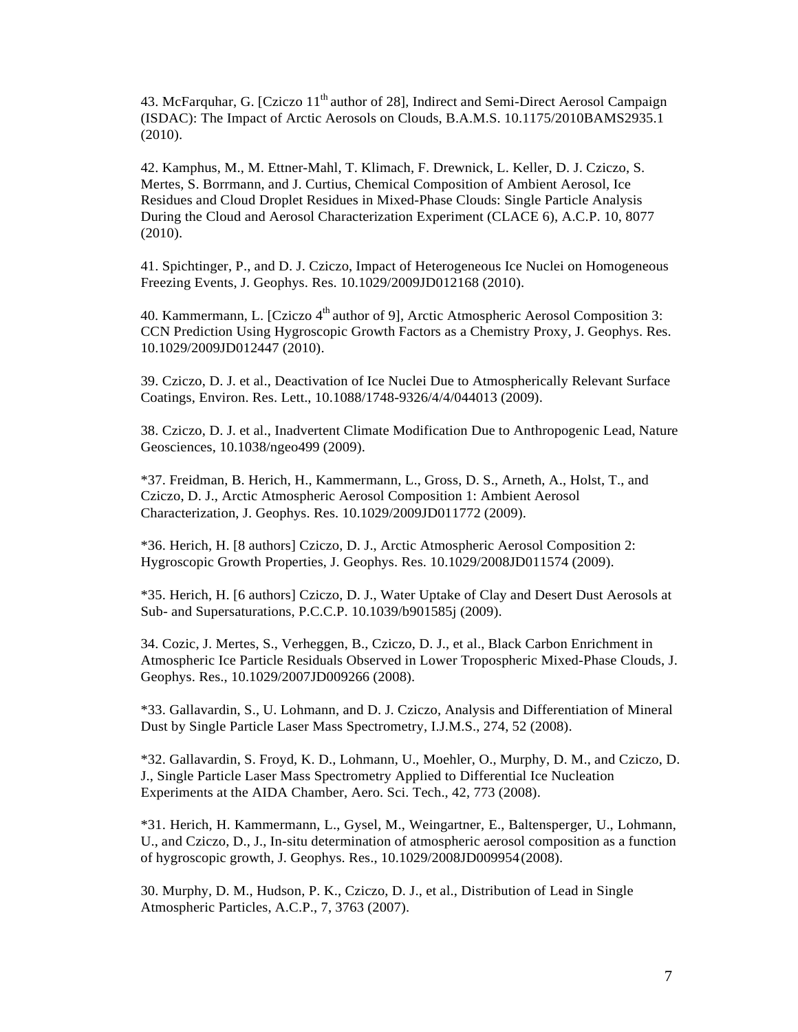43. McFarquhar, G. [Cziczo 11<sup>th</sup> author of 28], Indirect and Semi-Direct Aerosol Campaign (ISDAC): The Impact of Arctic Aerosols on Clouds, B.A.M.S. 10.1175/2010BAMS2935.1 (2010).

42. Kamphus, M., M. Ettner-Mahl, T. Klimach, F. Drewnick, L. Keller, D. J. Cziczo, S. Mertes, S. Borrmann, and J. Curtius, Chemical Composition of Ambient Aerosol, Ice Residues and Cloud Droplet Residues in Mixed-Phase Clouds: Single Particle Analysis During the Cloud and Aerosol Characterization Experiment (CLACE 6), A.C.P. 10, 8077 (2010).

41. Spichtinger, P., and D. J. Cziczo, Impact of Heterogeneous Ice Nuclei on Homogeneous Freezing Events, J. Geophys. Res. 10.1029/2009JD012168 (2010).

40. Kammermann, L. [Cziczo  $4<sup>th</sup>$  author of 9], Arctic Atmospheric Aerosol Composition 3: CCN Prediction Using Hygroscopic Growth Factors as a Chemistry Proxy, J. Geophys. Res. 10.1029/2009JD012447 (2010).

39. Cziczo, D. J. et al., Deactivation of Ice Nuclei Due to Atmospherically Relevant Surface Coatings, Environ. Res. Lett., 10.1088/1748-9326/4/4/044013 (2009).

38. Cziczo, D. J. et al., Inadvertent Climate Modification Due to Anthropogenic Lead, Nature Geosciences, 10.1038/ngeo499 (2009).

\*37. Freidman, B. Herich, H., Kammermann, L., Gross, D. S., Arneth, A., Holst, T., and Cziczo, D. J., Arctic Atmospheric Aerosol Composition 1: Ambient Aerosol Characterization, J. Geophys. Res. 10.1029/2009JD011772 (2009).

\*36. Herich, H. [8 authors] Cziczo, D. J., Arctic Atmospheric Aerosol Composition 2: Hygroscopic Growth Properties, J. Geophys. Res. 10.1029/2008JD011574 (2009).

\*35. Herich, H. [6 authors] Cziczo, D. J., Water Uptake of Clay and Desert Dust Aerosols at Sub- and Supersaturations, P.C.C.P. 10.1039/b901585j (2009).

34. Cozic, J. Mertes, S., Verheggen, B., Cziczo, D. J., et al., Black Carbon Enrichment in Atmospheric Ice Particle Residuals Observed in Lower Tropospheric Mixed-Phase Clouds, J. Geophys. Res., 10.1029/2007JD009266 (2008).

\*33. Gallavardin, S., U. Lohmann, and D. J. Cziczo, Analysis and Differentiation of Mineral Dust by Single Particle Laser Mass Spectrometry, I.J.M.S., 274, 52 (2008).

\*32. Gallavardin, S. Froyd, K. D., Lohmann, U., Moehler, O., Murphy, D. M., and Cziczo, D. J., Single Particle Laser Mass Spectrometry Applied to Differential Ice Nucleation Experiments at the AIDA Chamber, Aero. Sci. Tech., 42, 773 (2008).

\*31. Herich, H. Kammermann, L., Gysel, M., Weingartner, E., Baltensperger, U., Lohmann, U., and Cziczo, D., J., In-situ determination of atmospheric aerosol composition as a function of hygroscopic growth, J. Geophys. Res., 10.1029/2008JD009954(2008).

30. Murphy, D. M., Hudson, P. K., Cziczo, D. J., et al., Distribution of Lead in Single Atmospheric Particles, A.C.P., 7, 3763 (2007).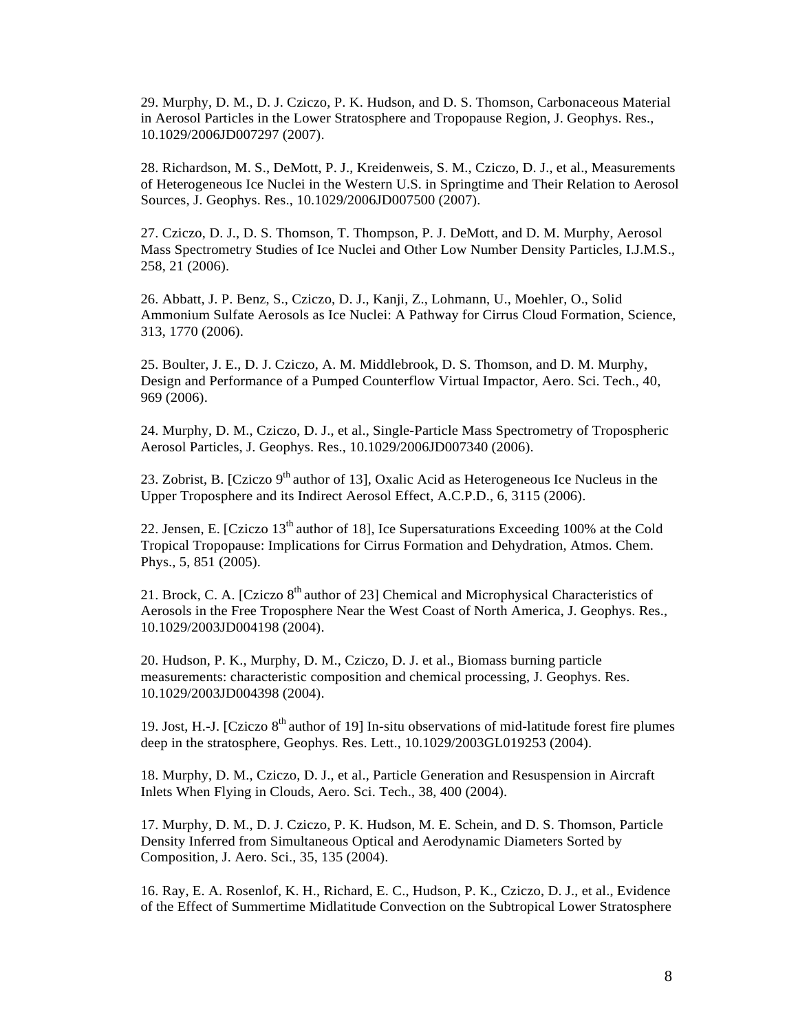29. Murphy, D. M., D. J. Cziczo, P. K. Hudson, and D. S. Thomson, Carbonaceous Material in Aerosol Particles in the Lower Stratosphere and Tropopause Region, J. Geophys. Res., 10.1029/2006JD007297 (2007).

28. Richardson, M. S., DeMott, P. J., Kreidenweis, S. M., Cziczo, D. J., et al., Measurements of Heterogeneous Ice Nuclei in the Western U.S. in Springtime and Their Relation to Aerosol Sources, J. Geophys. Res., 10.1029/2006JD007500 (2007).

27. Cziczo, D. J., D. S. Thomson, T. Thompson, P. J. DeMott, and D. M. Murphy, Aerosol Mass Spectrometry Studies of Ice Nuclei and Other Low Number Density Particles, I.J.M.S., 258, 21 (2006).

26. Abbatt, J. P. Benz, S., Cziczo, D. J., Kanji, Z., Lohmann, U., Moehler, O., Solid Ammonium Sulfate Aerosols as Ice Nuclei: A Pathway for Cirrus Cloud Formation, Science, 313, 1770 (2006).

25. Boulter, J. E., D. J. Cziczo, A. M. Middlebrook, D. S. Thomson, and D. M. Murphy, Design and Performance of a Pumped Counterflow Virtual Impactor, Aero. Sci. Tech., 40, 969 (2006).

24. Murphy, D. M., Cziczo, D. J., et al., Single-Particle Mass Spectrometry of Tropospheric Aerosol Particles, J. Geophys. Res., 10.1029/2006JD007340 (2006).

23. Zobrist, B. [Cziczo 9<sup>th</sup> author of 13], Oxalic Acid as Heterogeneous Ice Nucleus in the Upper Troposphere and its Indirect Aerosol Effect, A.C.P.D., 6, 3115 (2006).

22. Jensen, E. [Cziczo  $13<sup>th</sup>$  author of 18], Ice Supersaturations Exceeding 100% at the Cold Tropical Tropopause: Implications for Cirrus Formation and Dehydration, Atmos. Chem. Phys., 5, 851 (2005).

21. Brock, C. A. [Cziczo  $8<sup>th</sup>$  author of 23] Chemical and Microphysical Characteristics of Aerosols in the Free Troposphere Near the West Coast of North America, J. Geophys. Res., 10.1029/2003JD004198 (2004).

20. Hudson, P. K., Murphy, D. M., Cziczo, D. J. et al., Biomass burning particle measurements: characteristic composition and chemical processing, J. Geophys. Res. 10.1029/2003JD004398 (2004).

19. Jost, H.-J. [Cziczo  $8<sup>th</sup>$  author of 19] In-situ observations of mid-latitude forest fire plumes deep in the stratosphere, Geophys. Res. Lett., 10.1029/2003GL019253 (2004).

18. Murphy, D. M., Cziczo, D. J., et al., Particle Generation and Resuspension in Aircraft Inlets When Flying in Clouds, Aero. Sci. Tech., 38, 400 (2004).

17. Murphy, D. M., D. J. Cziczo, P. K. Hudson, M. E. Schein, and D. S. Thomson, Particle Density Inferred from Simultaneous Optical and Aerodynamic Diameters Sorted by Composition, J. Aero. Sci., 35, 135 (2004).

16. Ray, E. A. Rosenlof, K. H., Richard, E. C., Hudson, P. K., Cziczo, D. J., et al., Evidence of the Effect of Summertime Midlatitude Convection on the Subtropical Lower Stratosphere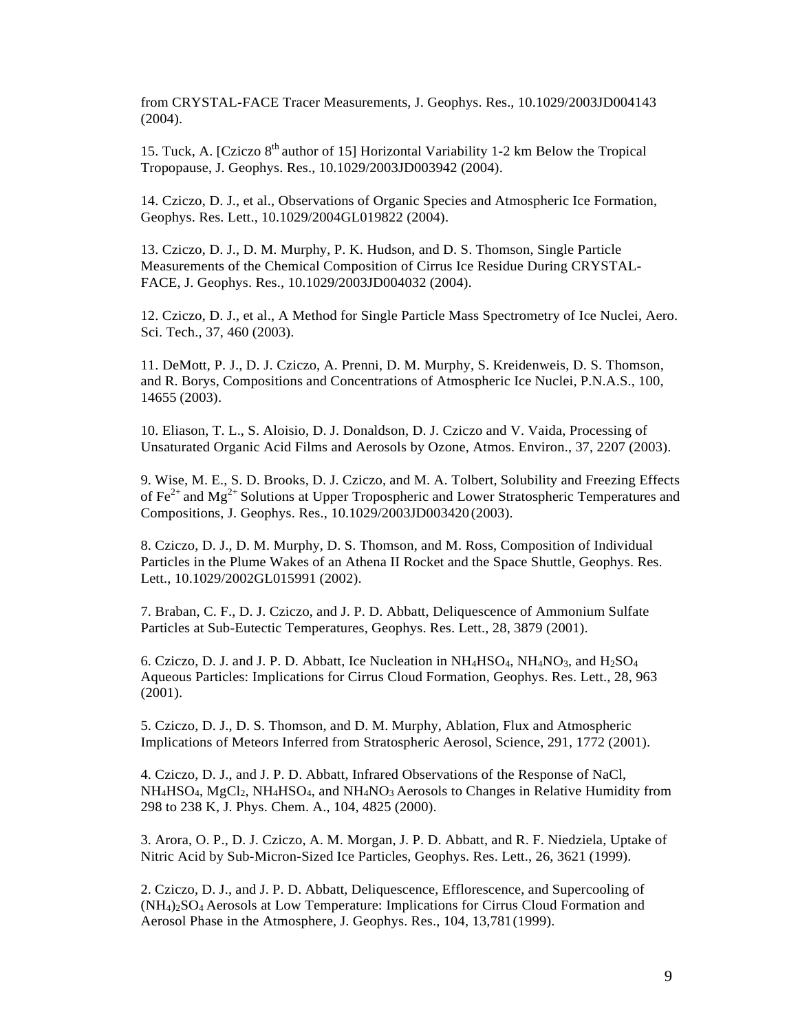from CRYSTAL-FACE Tracer Measurements, J. Geophys. Res., 10.1029/2003JD004143 (2004).

15. Tuck, A. [Cziczo  $8<sup>th</sup>$  author of 15] Horizontal Variability 1-2 km Below the Tropical Tropopause, J. Geophys. Res., 10.1029/2003JD003942 (2004).

14. Cziczo, D. J., et al., Observations of Organic Species and Atmospheric Ice Formation, Geophys. Res. Lett., 10.1029/2004GL019822 (2004).

13. Cziczo, D. J., D. M. Murphy, P. K. Hudson, and D. S. Thomson, Single Particle Measurements of the Chemical Composition of Cirrus Ice Residue During CRYSTAL-FACE, J. Geophys. Res., 10.1029/2003JD004032 (2004).

12. Cziczo, D. J., et al., A Method for Single Particle Mass Spectrometry of Ice Nuclei, Aero. Sci. Tech., 37, 460 (2003).

11. DeMott, P. J., D. J. Cziczo, A. Prenni, D. M. Murphy, S. Kreidenweis, D. S. Thomson, and R. Borys, Compositions and Concentrations of Atmospheric Ice Nuclei, P.N.A.S., 100, 14655 (2003).

10. Eliason, T. L., S. Aloisio, D. J. Donaldson, D. J. Cziczo and V. Vaida, Processing of Unsaturated Organic Acid Films and Aerosols by Ozone, Atmos. Environ., 37, 2207 (2003).

9. Wise, M. E., S. D. Brooks, D. J. Cziczo, and M. A. Tolbert, Solubility and Freezing Effects of  $\text{Fe}^{2+}$  and  $\text{Mg}^{2+}$  Solutions at Upper Tropospheric and Lower Stratospheric Temperatures and Compositions, J. Geophys. Res., 10.1029/2003JD003420(2003).

8. Cziczo, D. J., D. M. Murphy, D. S. Thomson, and M. Ross, Composition of Individual Particles in the Plume Wakes of an Athena II Rocket and the Space Shuttle, Geophys. Res. Lett., 10.1029/2002GL015991 (2002).

7. Braban, C. F., D. J. Cziczo, and J. P. D. Abbatt, Deliquescence of Ammonium Sulfate Particles at Sub-Eutectic Temperatures, Geophys. Res. Lett., 28, 3879 (2001).

6. Cziczo, D. J. and J. P. D. Abbatt, Ice Nucleation in  $NH_4HSO_4$ ,  $NH_4NO_3$ , and  $H_2SO_4$ Aqueous Particles: Implications for Cirrus Cloud Formation, Geophys. Res. Lett., 28, 963 (2001).

5. Cziczo, D. J., D. S. Thomson, and D. M. Murphy, Ablation, Flux and Atmospheric Implications of Meteors Inferred from Stratospheric Aerosol, Science, 291, 1772 (2001).

4. Cziczo, D. J., and J. P. D. Abbatt, Infrared Observations of the Response of NaCl, NH4HSO4, MgCl2, NH4HSO4, and NH4NO3 Aerosols to Changes in Relative Humidity from 298 to 238 K, J. Phys. Chem. A., 104, 4825 (2000).

3. Arora, O. P., D. J. Cziczo, A. M. Morgan, J. P. D. Abbatt, and R. F. Niedziela, Uptake of Nitric Acid by Sub-Micron-Sized Ice Particles, Geophys. Res. Lett., 26, 3621 (1999).

2. Cziczo, D. J., and J. P. D. Abbatt, Deliquescence, Efflorescence, and Supercooling of (NH4)2SO4 Aerosols at Low Temperature: Implications for Cirrus Cloud Formation and Aerosol Phase in the Atmosphere, J. Geophys. Res., 104, 13,781(1999).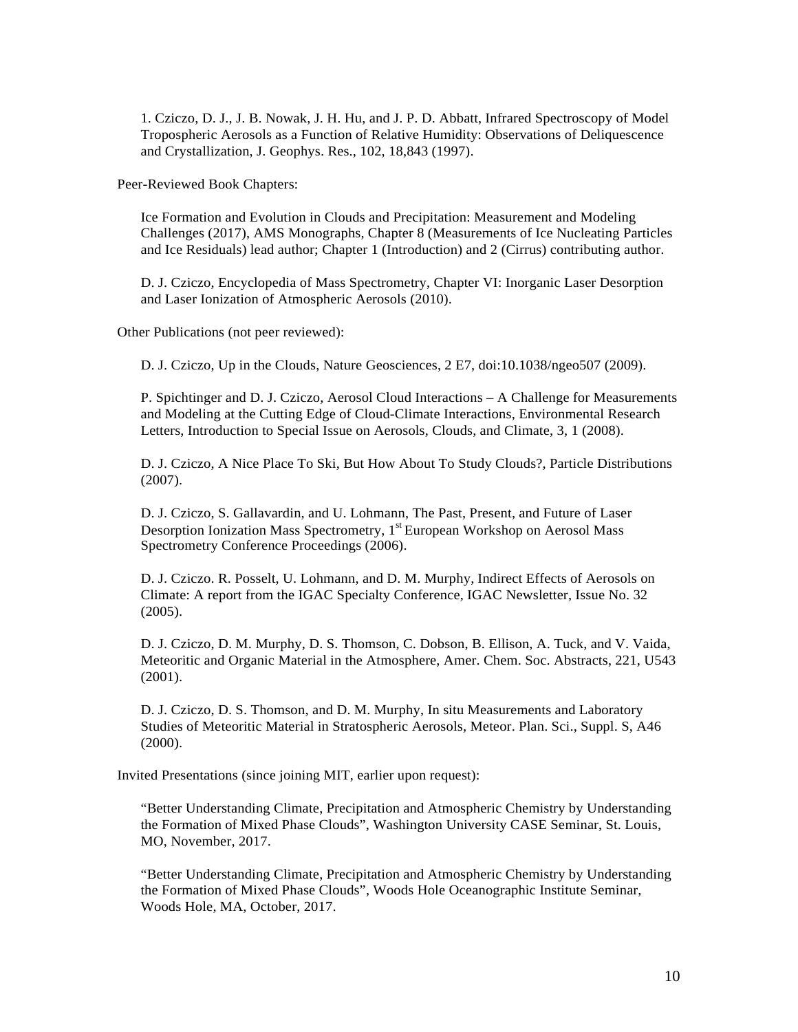1. Cziczo, D. J., J. B. Nowak, J. H. Hu, and J. P. D. Abbatt, Infrared Spectroscopy of Model Tropospheric Aerosols as a Function of Relative Humidity: Observations of Deliquescence and Crystallization, J. Geophys. Res., 102, 18,843 (1997).

Peer-Reviewed Book Chapters:

Ice Formation and Evolution in Clouds and Precipitation: Measurement and Modeling Challenges (2017), AMS Monographs, Chapter 8 (Measurements of Ice Nucleating Particles and Ice Residuals) lead author; Chapter 1 (Introduction) and 2 (Cirrus) contributing author.

D. J. Cziczo, Encyclopedia of Mass Spectrometry, Chapter VI: Inorganic Laser Desorption and Laser Ionization of Atmospheric Aerosols (2010).

Other Publications (not peer reviewed):

D. J. Cziczo, Up in the Clouds, Nature Geosciences, 2 E7, doi:10.1038/ngeo507 (2009).

P. Spichtinger and D. J. Cziczo, Aerosol Cloud Interactions – A Challenge for Measurements and Modeling at the Cutting Edge of Cloud-Climate Interactions, Environmental Research Letters, Introduction to Special Issue on Aerosols, Clouds, and Climate, 3, 1 (2008).

D. J. Cziczo, A Nice Place To Ski, But How About To Study Clouds?, Particle Distributions (2007).

D. J. Cziczo, S. Gallavardin, and U. Lohmann, The Past, Present, and Future of Laser Desorption Ionization Mass Spectrometry,  $1<sup>st</sup>$  European Workshop on Aerosol Mass Spectrometry Conference Proceedings (2006).

D. J. Cziczo. R. Posselt, U. Lohmann, and D. M. Murphy, Indirect Effects of Aerosols on Climate: A report from the IGAC Specialty Conference, IGAC Newsletter, Issue No. 32 (2005).

D. J. Cziczo, D. M. Murphy, D. S. Thomson, C. Dobson, B. Ellison, A. Tuck, and V. Vaida, Meteoritic and Organic Material in the Atmosphere, Amer. Chem. Soc. Abstracts, 221, U543 (2001).

D. J. Cziczo, D. S. Thomson, and D. M. Murphy, In situ Measurements and Laboratory Studies of Meteoritic Material in Stratospheric Aerosols, Meteor. Plan. Sci., Suppl. S, A46 (2000).

Invited Presentations (since joining MIT, earlier upon request):

"Better Understanding Climate, Precipitation and Atmospheric Chemistry by Understanding the Formation of Mixed Phase Clouds", Washington University CASE Seminar, St. Louis, MO, November, 2017.

"Better Understanding Climate, Precipitation and Atmospheric Chemistry by Understanding the Formation of Mixed Phase Clouds", Woods Hole Oceanographic Institute Seminar, Woods Hole, MA, October, 2017.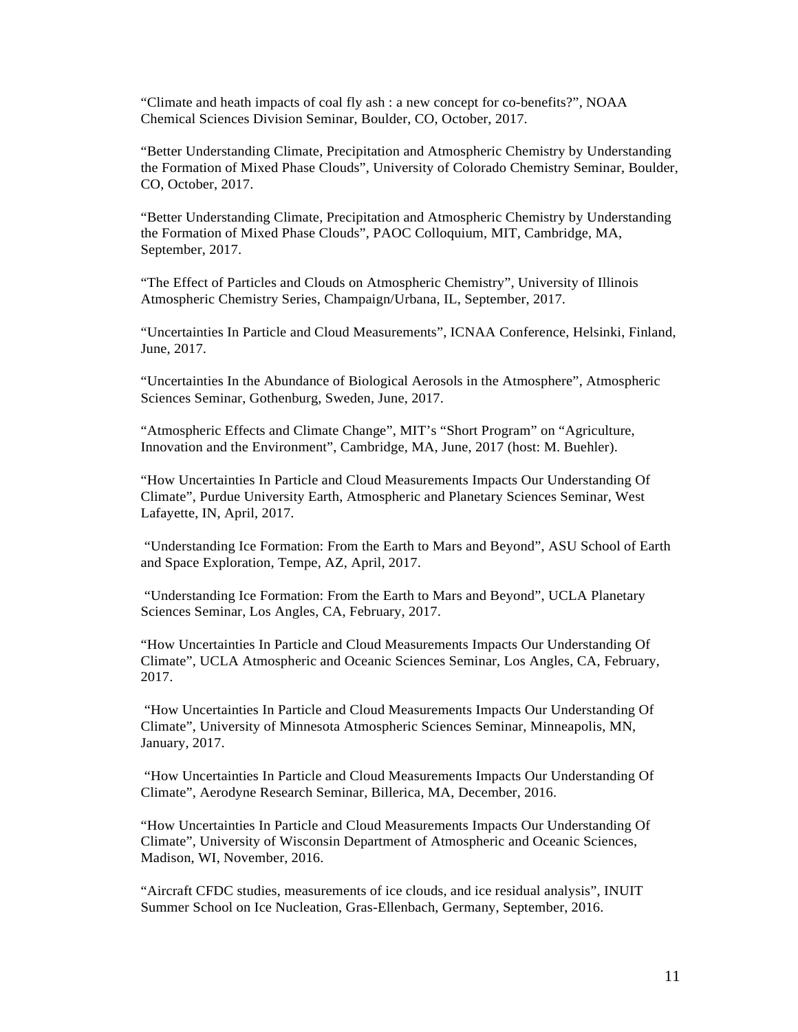"Climate and heath impacts of coal fly ash : a new concept for co-benefits?", NOAA Chemical Sciences Division Seminar, Boulder, CO, October, 2017.

"Better Understanding Climate, Precipitation and Atmospheric Chemistry by Understanding the Formation of Mixed Phase Clouds", University of Colorado Chemistry Seminar, Boulder, CO, October, 2017.

"Better Understanding Climate, Precipitation and Atmospheric Chemistry by Understanding the Formation of Mixed Phase Clouds", PAOC Colloquium, MIT, Cambridge, MA, September, 2017.

"The Effect of Particles and Clouds on Atmospheric Chemistry", University of Illinois Atmospheric Chemistry Series, Champaign/Urbana, IL, September, 2017.

"Uncertainties In Particle and Cloud Measurements", ICNAA Conference, Helsinki, Finland, June, 2017.

"Uncertainties In the Abundance of Biological Aerosols in the Atmosphere", Atmospheric Sciences Seminar, Gothenburg, Sweden, June, 2017.

"Atmospheric Effects and Climate Change", MIT's "Short Program" on "Agriculture, Innovation and the Environment", Cambridge, MA, June, 2017 (host: M. Buehler).

"How Uncertainties In Particle and Cloud Measurements Impacts Our Understanding Of Climate", Purdue University Earth, Atmospheric and Planetary Sciences Seminar, West Lafayette, IN, April, 2017.

"Understanding Ice Formation: From the Earth to Mars and Beyond", ASU School of Earth and Space Exploration, Tempe, AZ, April, 2017.

"Understanding Ice Formation: From the Earth to Mars and Beyond", UCLA Planetary Sciences Seminar, Los Angles, CA, February, 2017.

"How Uncertainties In Particle and Cloud Measurements Impacts Our Understanding Of Climate", UCLA Atmospheric and Oceanic Sciences Seminar, Los Angles, CA, February, 2017.

"How Uncertainties In Particle and Cloud Measurements Impacts Our Understanding Of Climate", University of Minnesota Atmospheric Sciences Seminar, Minneapolis, MN, January, 2017.

"How Uncertainties In Particle and Cloud Measurements Impacts Our Understanding Of Climate", Aerodyne Research Seminar, Billerica, MA, December, 2016.

"How Uncertainties In Particle and Cloud Measurements Impacts Our Understanding Of Climate", University of Wisconsin Department of Atmospheric and Oceanic Sciences, Madison, WI, November, 2016.

"Aircraft CFDC studies, measurements of ice clouds, and ice residual analysis", INUIT Summer School on Ice Nucleation, Gras-Ellenbach, Germany, September, 2016.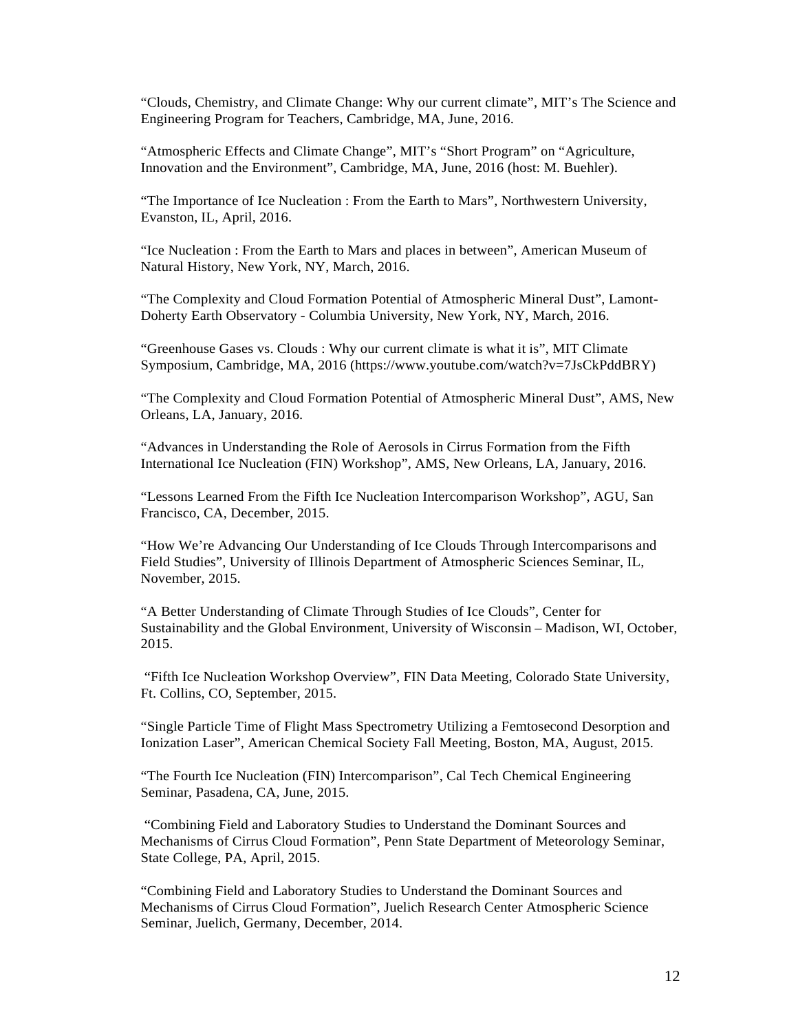"Clouds, Chemistry, and Climate Change: Why our current climate", MIT's The Science and Engineering Program for Teachers, Cambridge, MA, June, 2016.

"Atmospheric Effects and Climate Change", MIT's "Short Program" on "Agriculture, Innovation and the Environment", Cambridge, MA, June, 2016 (host: M. Buehler).

"The Importance of Ice Nucleation : From the Earth to Mars", Northwestern University, Evanston, IL, April, 2016.

"Ice Nucleation : From the Earth to Mars and places in between", American Museum of Natural History, New York, NY, March, 2016.

"The Complexity and Cloud Formation Potential of Atmospheric Mineral Dust", Lamont-Doherty Earth Observatory - Columbia University, New York, NY, March, 2016.

"Greenhouse Gases vs. Clouds : Why our current climate is what it is", MIT Climate Symposium, Cambridge, MA, 2016 (https:/[/www.youtube.com/watch?v=7JsCkPddBRY\)](http://www.youtube.com/watch?v=7JsCkPddBRY))

"The Complexity and Cloud Formation Potential of Atmospheric Mineral Dust", AMS, New Orleans, LA, January, 2016.

"Advances in Understanding the Role of Aerosols in Cirrus Formation from the Fifth International Ice Nucleation (FIN) Workshop", AMS, New Orleans, LA, January, 2016.

"Lessons Learned From the Fifth Ice Nucleation Intercomparison Workshop", AGU, San Francisco, CA, December, 2015.

"How We're Advancing Our Understanding of Ice Clouds Through Intercomparisons and Field Studies", University of Illinois Department of Atmospheric Sciences Seminar, IL, November, 2015.

"A Better Understanding of Climate Through Studies of Ice Clouds", Center for Sustainability and the Global Environment, University of Wisconsin – Madison, WI, October, 2015.

"Fifth Ice Nucleation Workshop Overview", FIN Data Meeting, Colorado State University, Ft. Collins, CO, September, 2015.

"Single Particle Time of Flight Mass Spectrometry Utilizing a Femtosecond Desorption and Ionization Laser", American Chemical Society Fall Meeting, Boston, MA, August, 2015.

"The Fourth Ice Nucleation (FIN) Intercomparison", Cal Tech Chemical Engineering Seminar, Pasadena, CA, June, 2015.

"Combining Field and Laboratory Studies to Understand the Dominant Sources and Mechanisms of Cirrus Cloud Formation", Penn State Department of Meteorology Seminar, State College, PA, April, 2015.

"Combining Field and Laboratory Studies to Understand the Dominant Sources and Mechanisms of Cirrus Cloud Formation", Juelich Research Center Atmospheric Science Seminar, Juelich, Germany, December, 2014.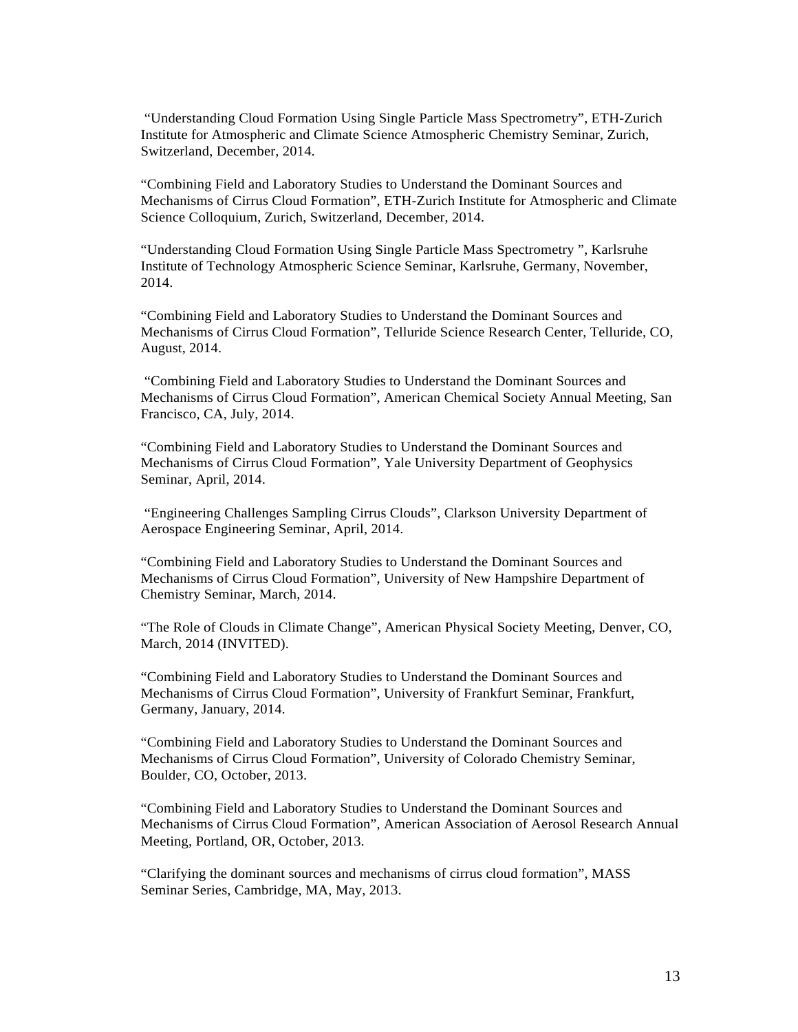"Understanding Cloud Formation Using Single Particle Mass Spectrometry", ETH-Zurich Institute for Atmospheric and Climate Science Atmospheric Chemistry Seminar, Zurich, Switzerland, December, 2014.

"Combining Field and Laboratory Studies to Understand the Dominant Sources and Mechanisms of Cirrus Cloud Formation", ETH-Zurich Institute for Atmospheric and Climate Science Colloquium, Zurich, Switzerland, December, 2014.

"Understanding Cloud Formation Using Single Particle Mass Spectrometry ", Karlsruhe Institute of Technology Atmospheric Science Seminar, Karlsruhe, Germany, November, 2014.

"Combining Field and Laboratory Studies to Understand the Dominant Sources and Mechanisms of Cirrus Cloud Formation", Telluride Science Research Center, Telluride, CO, August, 2014.

"Combining Field and Laboratory Studies to Understand the Dominant Sources and Mechanisms of Cirrus Cloud Formation", American Chemical Society Annual Meeting, San Francisco, CA, July, 2014.

"Combining Field and Laboratory Studies to Understand the Dominant Sources and Mechanisms of Cirrus Cloud Formation", Yale University Department of Geophysics Seminar, April, 2014.

"Engineering Challenges Sampling Cirrus Clouds", Clarkson University Department of Aerospace Engineering Seminar, April, 2014.

"Combining Field and Laboratory Studies to Understand the Dominant Sources and Mechanisms of Cirrus Cloud Formation", University of New Hampshire Department of Chemistry Seminar, March, 2014.

"The Role of Clouds in Climate Change", American Physical Society Meeting, Denver, CO, March, 2014 (INVITED).

"Combining Field and Laboratory Studies to Understand the Dominant Sources and Mechanisms of Cirrus Cloud Formation", University of Frankfurt Seminar, Frankfurt, Germany, January, 2014.

"Combining Field and Laboratory Studies to Understand the Dominant Sources and Mechanisms of Cirrus Cloud Formation", University of Colorado Chemistry Seminar, Boulder, CO, October, 2013.

"Combining Field and Laboratory Studies to Understand the Dominant Sources and Mechanisms of Cirrus Cloud Formation", American Association of Aerosol Research Annual Meeting, Portland, OR, October, 2013.

"Clarifying the dominant sources and mechanisms of cirrus cloud formation", MASS Seminar Series, Cambridge, MA, May, 2013.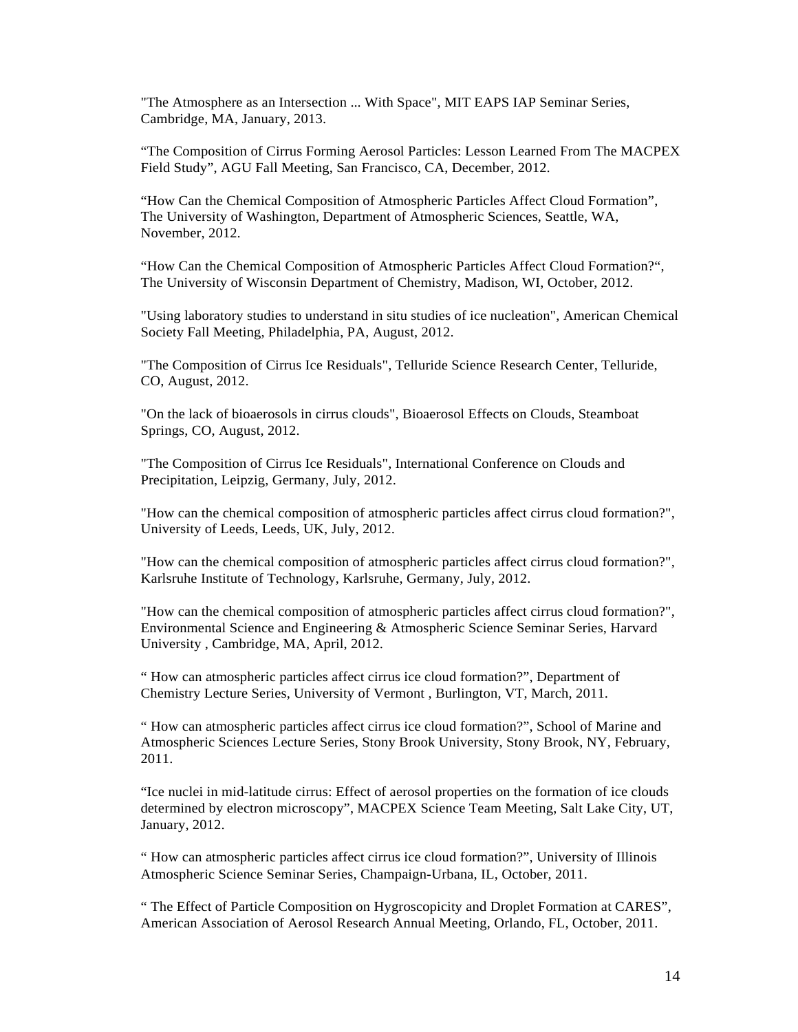"The Atmosphere as an Intersection ... With Space", MIT EAPS IAP Seminar Series, Cambridge, MA, January, 2013.

"The Composition of Cirrus Forming Aerosol Particles: Lesson Learned From The MACPEX Field Study", AGU Fall Meeting, San Francisco, CA, December, 2012.

"How Can the Chemical Composition of Atmospheric Particles Affect Cloud Formation", The University of Washington, Department of Atmospheric Sciences, Seattle, WA, November, 2012.

"How Can the Chemical Composition of Atmospheric Particles Affect Cloud Formation?", The University of Wisconsin Department of Chemistry, Madison, WI, October, 2012.

"Using laboratory studies to understand in situ studies of ice nucleation", American Chemical Society Fall Meeting, Philadelphia, PA, August, 2012.

"The Composition of Cirrus Ice Residuals", Telluride Science Research Center, Telluride, CO, August, 2012.

"On the lack of bioaerosols in cirrus clouds", Bioaerosol Effects on Clouds, Steamboat Springs, CO, August, 2012.

"The Composition of Cirrus Ice Residuals", International Conference on Clouds and Precipitation, Leipzig, Germany, July, 2012.

"How can the chemical composition of atmospheric particles affect cirrus cloud formation?", University of Leeds, Leeds, UK, July, 2012.

"How can the chemical composition of atmospheric particles affect cirrus cloud formation?", Karlsruhe Institute of Technology, Karlsruhe, Germany, July, 2012.

"How can the chemical composition of atmospheric particles affect cirrus cloud formation?", Environmental Science and Engineering & Atmospheric Science Seminar Series, Harvard University , Cambridge, MA, April, 2012.

" How can atmospheric particles affect cirrus ice cloud formation?", Department of Chemistry Lecture Series, University of Vermont , Burlington, VT, March, 2011.

" How can atmospheric particles affect cirrus ice cloud formation?", School of Marine and Atmospheric Sciences Lecture Series, Stony Brook University, Stony Brook, NY, February, 2011.

"Ice nuclei in mid-latitude cirrus: Effect of aerosol properties on the formation of ice clouds determined by electron microscopy", MACPEX Science Team Meeting, Salt Lake City, UT, January, 2012.

" How can atmospheric particles affect cirrus ice cloud formation?", University of Illinois Atmospheric Science Seminar Series, Champaign-Urbana, IL, October, 2011.

" The Effect of Particle Composition on Hygroscopicity and Droplet Formation at CARES", American Association of Aerosol Research Annual Meeting, Orlando, FL, October, 2011.